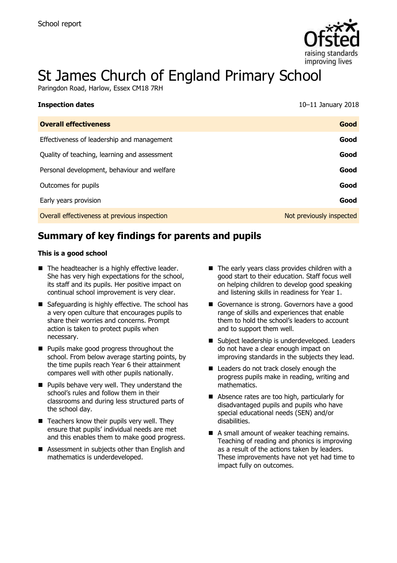

# St James Church of England Primary School

Paringdon Road, Harlow, Essex CM18 7RH

| <b>Inspection dates</b>                      | $10-11$ January 2018     |
|----------------------------------------------|--------------------------|
| <b>Overall effectiveness</b>                 | Good                     |
| Effectiveness of leadership and management   | Good                     |
| Quality of teaching, learning and assessment | Good                     |
| Personal development, behaviour and welfare  | Good                     |
| Outcomes for pupils                          | Good                     |
| Early years provision                        | Good                     |
| Overall effectiveness at previous inspection | Not previously inspected |

# **Summary of key findings for parents and pupils**

#### **This is a good school**

- $\blacksquare$  The headteacher is a highly effective leader. She has very high expectations for the school, its staff and its pupils. Her positive impact on continual school improvement is very clear.
- Safeguarding is highly effective. The school has a very open culture that encourages pupils to share their worries and concerns. Prompt action is taken to protect pupils when necessary.
- **Pupils make good progress throughout the** school. From below average starting points, by the time pupils reach Year 6 their attainment compares well with other pupils nationally.
- **Pupils behave very well. They understand the** school's rules and follow them in their classrooms and during less structured parts of the school day.
- $\blacksquare$  Teachers know their pupils very well. They ensure that pupils' individual needs are met and this enables them to make good progress.
- Assessment in subjects other than English and mathematics is underdeveloped.
- $\blacksquare$  The early vears class provides children with a good start to their education. Staff focus well on helping children to develop good speaking and listening skills in readiness for Year 1.
- Governance is strong. Governors have a good range of skills and experiences that enable them to hold the school's leaders to account and to support them well.
- Subject leadership is underdeveloped. Leaders do not have a clear enough impact on improving standards in the subjects they lead.
- Leaders do not track closely enough the progress pupils make in reading, writing and mathematics.
- Absence rates are too high, particularly for disadvantaged pupils and pupils who have special educational needs (SEN) and/or disabilities.
- A small amount of weaker teaching remains. Teaching of reading and phonics is improving as a result of the actions taken by leaders. These improvements have not yet had time to impact fully on outcomes.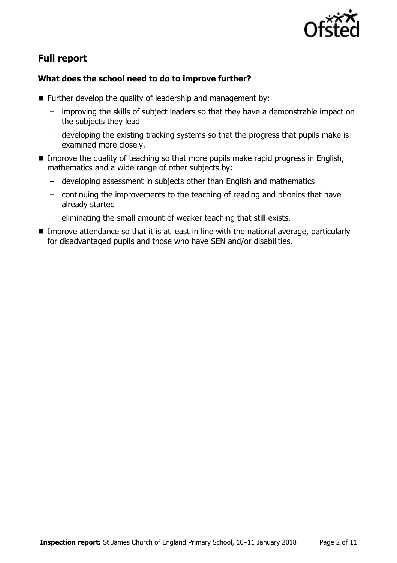

# **Full report**

### **What does the school need to do to improve further?**

- $\blacksquare$  Further develop the quality of leadership and management by:
	- improving the skills of subject leaders so that they have a demonstrable impact on the subjects they lead
	- developing the existing tracking systems so that the progress that pupils make is examined more closely.
- Improve the quality of teaching so that more pupils make rapid progress in English, mathematics and a wide range of other subjects by:
	- developing assessment in subjects other than English and mathematics
	- continuing the improvements to the teaching of reading and phonics that have already started
	- eliminating the small amount of weaker teaching that still exists.
- Improve attendance so that it is at least in line with the national average, particularly for disadvantaged pupils and those who have SEN and/or disabilities.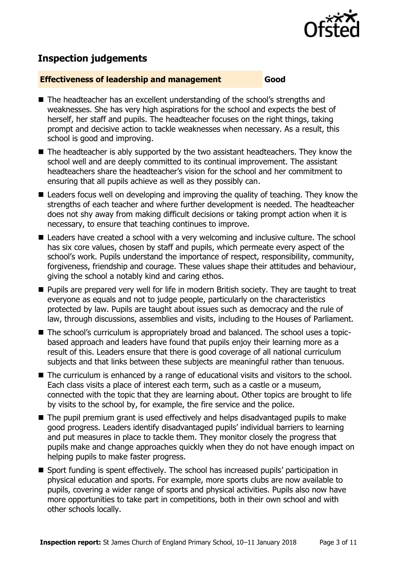

# **Inspection judgements**

#### **Effectiveness of leadership and management Good**

- The headteacher has an excellent understanding of the school's strengths and weaknesses. She has very high aspirations for the school and expects the best of herself, her staff and pupils. The headteacher focuses on the right things, taking prompt and decisive action to tackle weaknesses when necessary. As a result, this school is good and improving.
- The headteacher is ably supported by the two assistant headteachers. They know the school well and are deeply committed to its continual improvement. The assistant headteachers share the headteacher's vision for the school and her commitment to ensuring that all pupils achieve as well as they possibly can.
- Leaders focus well on developing and improving the quality of teaching. They know the strengths of each teacher and where further development is needed. The headteacher does not shy away from making difficult decisions or taking prompt action when it is necessary, to ensure that teaching continues to improve.
- Leaders have created a school with a very welcoming and inclusive culture. The school has six core values, chosen by staff and pupils, which permeate every aspect of the school's work. Pupils understand the importance of respect, responsibility, community, forgiveness, friendship and courage. These values shape their attitudes and behaviour, giving the school a notably kind and caring ethos.
- **Pupils are prepared very well for life in modern British society. They are taught to treat** everyone as equals and not to judge people, particularly on the characteristics protected by law. Pupils are taught about issues such as democracy and the rule of law, through discussions, assemblies and visits, including to the Houses of Parliament.
- The school's curriculum is appropriately broad and balanced. The school uses a topicbased approach and leaders have found that pupils enjoy their learning more as a result of this. Leaders ensure that there is good coverage of all national curriculum subjects and that links between these subjects are meaningful rather than tenuous.
- The curriculum is enhanced by a range of educational visits and visitors to the school. Each class visits a place of interest each term, such as a castle or a museum, connected with the topic that they are learning about. Other topics are brought to life by visits to the school by, for example, the fire service and the police.
- The pupil premium grant is used effectively and helps disadvantaged pupils to make good progress. Leaders identify disadvantaged pupils' individual barriers to learning and put measures in place to tackle them. They monitor closely the progress that pupils make and change approaches quickly when they do not have enough impact on helping pupils to make faster progress.
- Sport funding is spent effectively. The school has increased pupils' participation in physical education and sports. For example, more sports clubs are now available to pupils, covering a wider range of sports and physical activities. Pupils also now have more opportunities to take part in competitions, both in their own school and with other schools locally.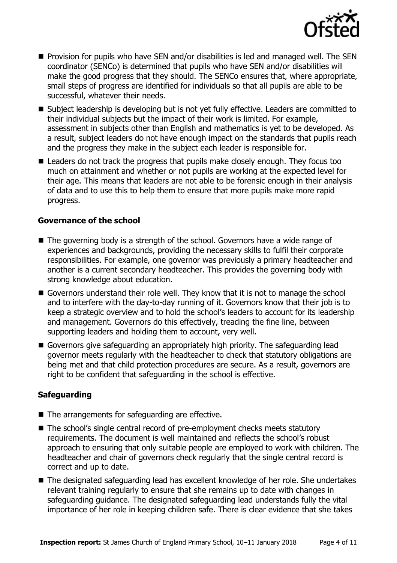

- **Provision for pupils who have SEN and/or disabilities is led and managed well. The SEN** coordinator (SENCo) is determined that pupils who have SEN and/or disabilities will make the good progress that they should. The SENCo ensures that, where appropriate, small steps of progress are identified for individuals so that all pupils are able to be successful, whatever their needs.
- Subject leadership is developing but is not yet fully effective. Leaders are committed to their individual subjects but the impact of their work is limited. For example, assessment in subjects other than English and mathematics is yet to be developed. As a result, subject leaders do not have enough impact on the standards that pupils reach and the progress they make in the subject each leader is responsible for.
- Leaders do not track the progress that pupils make closely enough. They focus too much on attainment and whether or not pupils are working at the expected level for their age. This means that leaders are not able to be forensic enough in their analysis of data and to use this to help them to ensure that more pupils make more rapid progress.

#### **Governance of the school**

- The governing body is a strength of the school. Governors have a wide range of experiences and backgrounds, providing the necessary skills to fulfil their corporate responsibilities. For example, one governor was previously a primary headteacher and another is a current secondary headteacher. This provides the governing body with strong knowledge about education.
- Governors understand their role well. They know that it is not to manage the school and to interfere with the day-to-day running of it. Governors know that their job is to keep a strategic overview and to hold the school's leaders to account for its leadership and management. Governors do this effectively, treading the fine line, between supporting leaders and holding them to account, very well.
- Governors give safeguarding an appropriately high priority. The safeguarding lead governor meets regularly with the headteacher to check that statutory obligations are being met and that child protection procedures are secure. As a result, governors are right to be confident that safeguarding in the school is effective.

#### **Safeguarding**

- $\blacksquare$  The arrangements for safeguarding are effective.
- The school's single central record of pre-employment checks meets statutory requirements. The document is well maintained and reflects the school's robust approach to ensuring that only suitable people are employed to work with children. The headteacher and chair of governors check regularly that the single central record is correct and up to date.
- The designated safeguarding lead has excellent knowledge of her role. She undertakes relevant training regularly to ensure that she remains up to date with changes in safeguarding guidance. The designated safeguarding lead understands fully the vital importance of her role in keeping children safe. There is clear evidence that she takes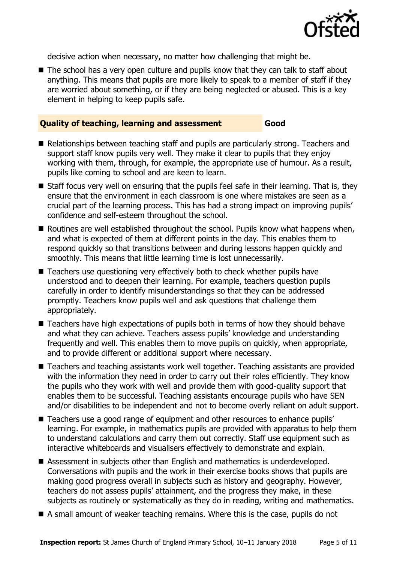

decisive action when necessary, no matter how challenging that might be.

■ The school has a very open culture and pupils know that they can talk to staff about anything. This means that pupils are more likely to speak to a member of staff if they are worried about something, or if they are being neglected or abused. This is a key element in helping to keep pupils safe.

#### **Quality of teaching, learning and assessment Good**

- Relationships between teaching staff and pupils are particularly strong. Teachers and support staff know pupils very well. They make it clear to pupils that they enjoy working with them, through, for example, the appropriate use of humour. As a result, pupils like coming to school and are keen to learn.
- Staff focus very well on ensuring that the pupils feel safe in their learning. That is, they ensure that the environment in each classroom is one where mistakes are seen as a crucial part of the learning process. This has had a strong impact on improving pupils' confidence and self-esteem throughout the school.
- $\blacksquare$  Routines are well established throughout the school. Pupils know what happens when, and what is expected of them at different points in the day. This enables them to respond quickly so that transitions between and during lessons happen quickly and smoothly. This means that little learning time is lost unnecessarily.
- Teachers use questioning very effectively both to check whether pupils have understood and to deepen their learning. For example, teachers question pupils carefully in order to identify misunderstandings so that they can be addressed promptly. Teachers know pupils well and ask questions that challenge them appropriately.
- Teachers have high expectations of pupils both in terms of how they should behave and what they can achieve. Teachers assess pupils' knowledge and understanding frequently and well. This enables them to move pupils on quickly, when appropriate, and to provide different or additional support where necessary.
- Teachers and teaching assistants work well together. Teaching assistants are provided with the information they need in order to carry out their roles efficiently. They know the pupils who they work with well and provide them with good-quality support that enables them to be successful. Teaching assistants encourage pupils who have SEN and/or disabilities to be independent and not to become overly reliant on adult support.
- Teachers use a good range of equipment and other resources to enhance pupils' learning. For example, in mathematics pupils are provided with apparatus to help them to understand calculations and carry them out correctly. Staff use equipment such as interactive whiteboards and visualisers effectively to demonstrate and explain.
- Assessment in subjects other than English and mathematics is underdeveloped. Conversations with pupils and the work in their exercise books shows that pupils are making good progress overall in subjects such as history and geography. However, teachers do not assess pupils' attainment, and the progress they make, in these subjects as routinely or systematically as they do in reading, writing and mathematics.
- A small amount of weaker teaching remains. Where this is the case, pupils do not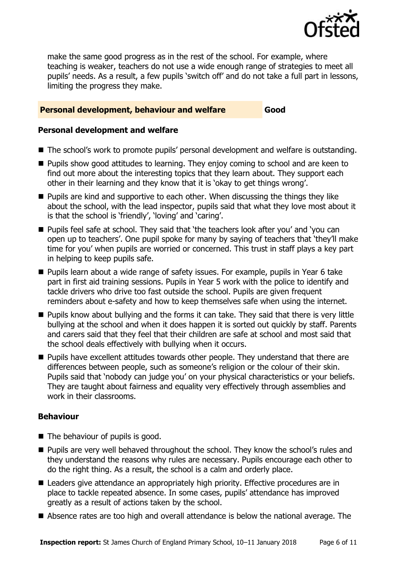

make the same good progress as in the rest of the school. For example, where teaching is weaker, teachers do not use a wide enough range of strategies to meet all pupils' needs. As a result, a few pupils 'switch off' and do not take a full part in lessons, limiting the progress they make.

#### **Personal development, behaviour and welfare Good**

#### **Personal development and welfare**

- The school's work to promote pupils' personal development and welfare is outstanding.
- **Pupils show good attitudes to learning. They enjoy coming to school and are keen to** find out more about the interesting topics that they learn about. They support each other in their learning and they know that it is 'okay to get things wrong'.
- **Pupils are kind and supportive to each other. When discussing the things they like** about the school, with the lead inspector, pupils said that what they love most about it is that the school is 'friendly', 'loving' and 'caring'.
- Pupils feel safe at school. They said that 'the teachers look after you' and 'you can open up to teachers'. One pupil spoke for many by saying of teachers that 'they'll make time for you' when pupils are worried or concerned. This trust in staff plays a key part in helping to keep pupils safe.
- Pupils learn about a wide range of safety issues. For example, pupils in Year 6 take part in first aid training sessions. Pupils in Year 5 work with the police to identify and tackle drivers who drive too fast outside the school. Pupils are given frequent reminders about e-safety and how to keep themselves safe when using the internet.
- **Pupils know about bullying and the forms it can take. They said that there is very little** bullying at the school and when it does happen it is sorted out quickly by staff. Parents and carers said that they feel that their children are safe at school and most said that the school deals effectively with bullying when it occurs.
- **Pupils have excellent attitudes towards other people. They understand that there are** differences between people, such as someone's religion or the colour of their skin. Pupils said that 'nobody can judge you' on your physical characteristics or your beliefs. They are taught about fairness and equality very effectively through assemblies and work in their classrooms.

#### **Behaviour**

- The behaviour of pupils is good.
- **Pupils are very well behaved throughout the school. They know the school's rules and** they understand the reasons why rules are necessary. Pupils encourage each other to do the right thing. As a result, the school is a calm and orderly place.
- Leaders give attendance an appropriately high priority. Effective procedures are in place to tackle repeated absence. In some cases, pupils' attendance has improved greatly as a result of actions taken by the school.
- Absence rates are too high and overall attendance is below the national average. The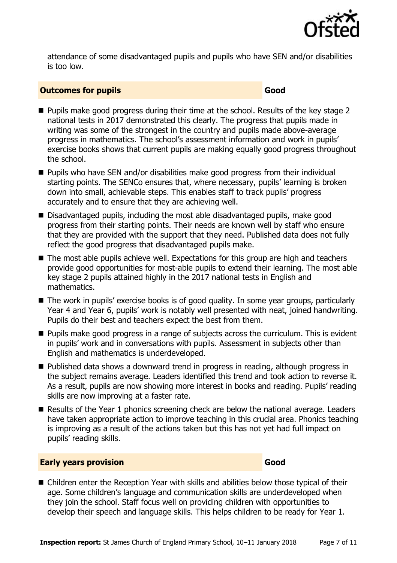

attendance of some disadvantaged pupils and pupils who have SEN and/or disabilities is too low.

#### **Outcomes for pupils Good Good**

- **Pupils make good progress during their time at the school. Results of the key stage 2** national tests in 2017 demonstrated this clearly. The progress that pupils made in writing was some of the strongest in the country and pupils made above-average progress in mathematics. The school's assessment information and work in pupils' exercise books shows that current pupils are making equally good progress throughout the school.
- Pupils who have SEN and/or disabilities make good progress from their individual starting points. The SENCo ensures that, where necessary, pupils' learning is broken down into small, achievable steps. This enables staff to track pupils' progress accurately and to ensure that they are achieving well.
- Disadvantaged pupils, including the most able disadvantaged pupils, make good progress from their starting points. Their needs are known well by staff who ensure that they are provided with the support that they need. Published data does not fully reflect the good progress that disadvantaged pupils make.
- The most able pupils achieve well. Expectations for this group are high and teachers provide good opportunities for most-able pupils to extend their learning. The most able key stage 2 pupils attained highly in the 2017 national tests in English and mathematics.
- The work in pupils' exercise books is of good quality. In some year groups, particularly Year 4 and Year 6, pupils' work is notably well presented with neat, joined handwriting. Pupils do their best and teachers expect the best from them.
- **Pupils make good progress in a range of subjects across the curriculum. This is evident** in pupils' work and in conversations with pupils. Assessment in subjects other than English and mathematics is underdeveloped.
- Published data shows a downward trend in progress in reading, although progress in the subject remains average. Leaders identified this trend and took action to reverse it. As a result, pupils are now showing more interest in books and reading. Pupils' reading skills are now improving at a faster rate.
- Results of the Year 1 phonics screening check are below the national average. Leaders have taken appropriate action to improve teaching in this crucial area. Phonics teaching is improving as a result of the actions taken but this has not yet had full impact on pupils' reading skills.

#### **Early years provision Good Good**

■ Children enter the Reception Year with skills and abilities below those typical of their age. Some children's language and communication skills are underdeveloped when they join the school. Staff focus well on providing children with opportunities to develop their speech and language skills. This helps children to be ready for Year 1.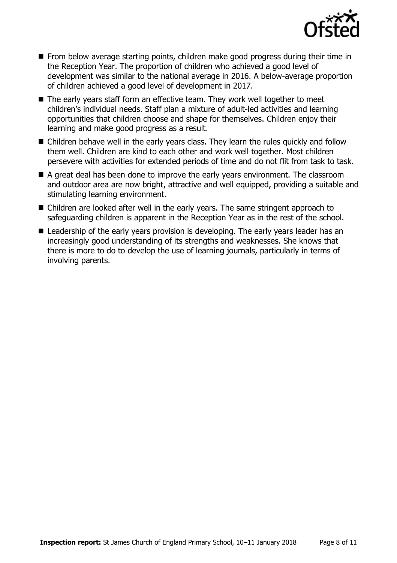

- **From below average starting points, children make good progress during their time in** the Reception Year. The proportion of children who achieved a good level of development was similar to the national average in 2016. A below-average proportion of children achieved a good level of development in 2017.
- The early years staff form an effective team. They work well together to meet children's individual needs. Staff plan a mixture of adult-led activities and learning opportunities that children choose and shape for themselves. Children enjoy their learning and make good progress as a result.
- Children behave well in the early years class. They learn the rules quickly and follow them well. Children are kind to each other and work well together. Most children persevere with activities for extended periods of time and do not flit from task to task.
- A great deal has been done to improve the early years environment. The classroom and outdoor area are now bright, attractive and well equipped, providing a suitable and stimulating learning environment.
- Children are looked after well in the early years. The same stringent approach to safeguarding children is apparent in the Reception Year as in the rest of the school.
- Leadership of the early years provision is developing. The early years leader has an increasingly good understanding of its strengths and weaknesses. She knows that there is more to do to develop the use of learning journals, particularly in terms of involving parents.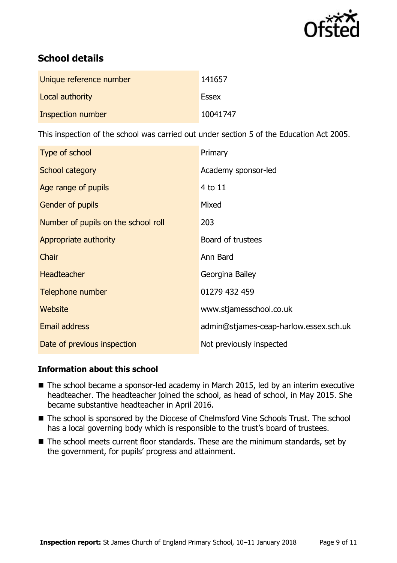

# **School details**

| Unique reference number | 141657       |
|-------------------------|--------------|
| Local authority         | <b>Essex</b> |
| Inspection number       | 10041747     |

This inspection of the school was carried out under section 5 of the Education Act 2005.

| Type of school                      | Primary                                |
|-------------------------------------|----------------------------------------|
| School category                     | Academy sponsor-led                    |
| Age range of pupils                 | 4 to 11                                |
| <b>Gender of pupils</b>             | Mixed                                  |
| Number of pupils on the school roll | 203                                    |
| Appropriate authority               | Board of trustees                      |
| Chair                               | Ann Bard                               |
| <b>Headteacher</b>                  | Georgina Bailey                        |
| Telephone number                    | 01279 432 459                          |
| <b>Website</b>                      | www.stjamesschool.co.uk                |
| Email address                       | admin@stjames-ceap-harlow.essex.sch.uk |
| Date of previous inspection         | Not previously inspected               |

#### **Information about this school**

- The school became a sponsor-led academy in March 2015, led by an interim executive headteacher. The headteacher joined the school, as head of school, in May 2015. She became substantive headteacher in April 2016.
- The school is sponsored by the Diocese of Chelmsford Vine Schools Trust. The school has a local governing body which is responsible to the trust's board of trustees.
- The school meets current floor standards. These are the minimum standards, set by the government, for pupils' progress and attainment.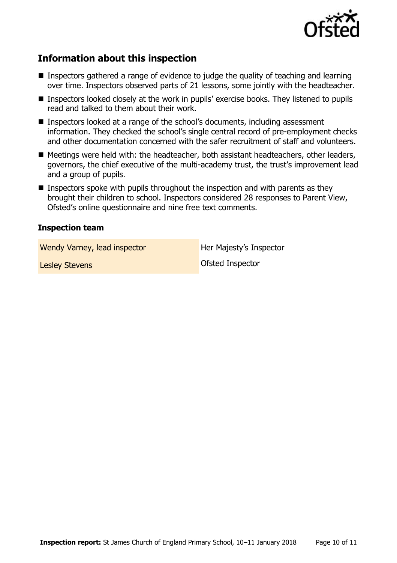

# **Information about this inspection**

- **Inspectors gathered a range of evidence to judge the quality of teaching and learning** over time. Inspectors observed parts of 21 lessons, some jointly with the headteacher.
- Inspectors looked closely at the work in pupils' exercise books. They listened to pupils read and talked to them about their work.
- Inspectors looked at a range of the school's documents, including assessment information. They checked the school's single central record of pre-employment checks and other documentation concerned with the safer recruitment of staff and volunteers.
- Meetings were held with: the headteacher, both assistant headteachers, other leaders, governors, the chief executive of the multi-academy trust, the trust's improvement lead and a group of pupils.
- $\blacksquare$  Inspectors spoke with pupils throughout the inspection and with parents as they brought their children to school. Inspectors considered 28 responses to Parent View, Ofsted's online questionnaire and nine free text comments.

#### **Inspection team**

Wendy Varney, lead inspector **Her Majesty's Inspector** 

Lesley Stevens and Contract Contract Contract Ofsted Inspector